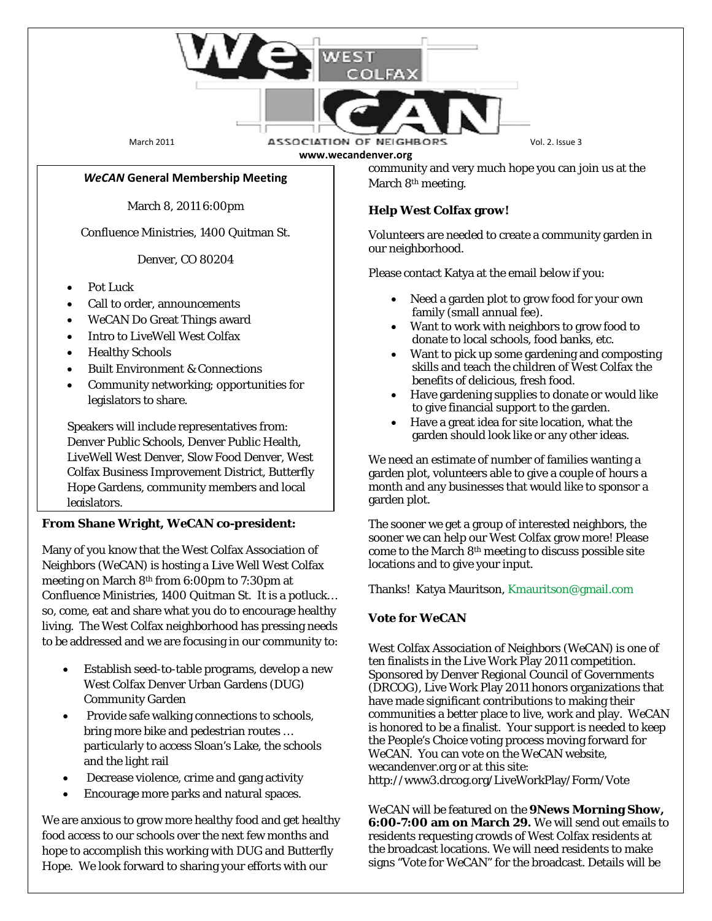

March 2011 **ASSOCIATION OF NEIGHBORS** Vol. 2. Issue 3 **www.wecandenver.org**

#### *WeCAN* **General Membership Meeting**

March 8, 2011 6:00pm

Confluence Ministries, 1400 Quitman St.

Denver, CO 80204

- Pot Luck
- Call to order, announcements
- WeCAN Do Great Things award
- Intro to LiveWell West Colfax
- Healthy Schools
- Built Environment & Connections
- Community networking; opportunities for legislators to share.

Speakers will include representatives from: Denver Public Schools, Denver Public Health, LiveWell West Denver, Slow Food Denver, West Colfax Business Improvement District, Butterfly Hope Gardens, community members and local legislators.

### **From Shane Wright,** *WeCAN* **co-president:**

Many of you know that the West Colfax Association of Neighbors (*WeCAN*) is hosting a Live Well West Colfax meeting on March 8th from 6:00pm to 7:30pm at Confluence Ministries, 1400 Quitman St. It is a potluck… so, come, eat and share what you do to encourage healthy living. The West Colfax neighborhood has pressing needs to be addressed and we are focusing in our community to:

- Establish seed-to-table programs, develop a new West Colfax Denver Urban Gardens (DUG) Community Garden
- Provide safe walking connections to schools, bring more bike and pedestrian routes … particularly to access Sloan's Lake, the schools and the light rail
- Decrease violence, crime and gang activity
- Encourage more parks and natural spaces.

We are anxious to grow more healthy food and get healthy food access to our schools over the next few months and hope to accomplish this working with DUG and Butterfly Hope. We look forward to sharing your efforts with our

community and very much hope you can join us at the March 8<sup>th</sup> meeting.

#### **Help West Colfax grow!**

Volunteers are needed to create a community garden in our neighborhood.

Please contact Katya at the email below if you:

- Need a garden plot to grow food for your own family (small annual fee).
- Want to work with neighbors to grow food to donate to local schools, food banks, etc.
- Want to pick up some gardening and composting skills and teach the children of West Colfax the benefits of delicious, fresh food.
- Have gardening supplies to donate or would like to give financial support to the garden.
- Have a great idea for site location, what the garden should look like or any other ideas.

We need an estimate of number of families wanting a garden plot, volunteers able to give a couple of hours a month and any businesses that would like to sponsor a garden plot.

The sooner we get a group of interested neighbors, the sooner we can help our West Colfax grow more! Please come to the March 8th meeting to discuss possible site locations and to give your input.

Thanks! Katya Mauritson[, Kmauritson@gmail.com](mailto:Kmauritson@gmail.com)

### **Vote for** *WeCAN*

West Colfax Association of Neighbors (*WeCAN*) is one of ten finalists in the Live Work Play 2011 competition. Sponsored by Denver Regional Council of Governments (DRCOG), Live Work Play 2011 honors organizations that have made significant contributions to making their communities a better place to live, work and play. *WeCAN* is honored to be a finalist. Your support is needed to keep the People's Choice voting process moving forward for *WeCAN*. You can vote on the *WeCAN* website, wecandenver.org or at this site: http://www3.drcog.org/LiveWorkPlay/Form/Vote

*WeCAN* will be featured on the **9News Morning Show, 6:00-7:00 am on March 29.** We will send out emails to residents requesting crowds of West Colfax residents at the broadcast locations. We will need residents to make signs "Vote for *WeCAN*" for the broadcast. Details will be